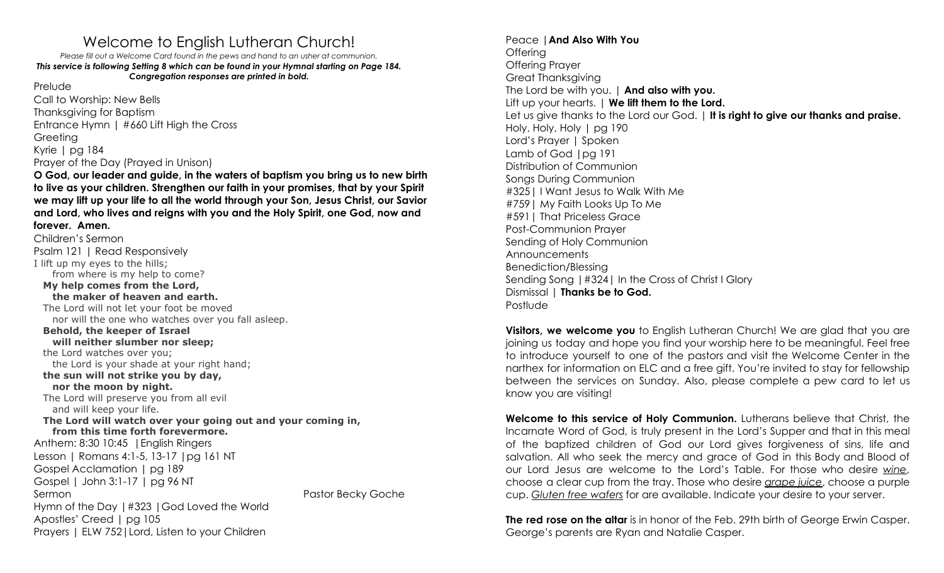## Welcome to English Lutheran Church!

*Please fill out a Welcome Card found in the pews and hand to an usher at communion. This service is following Setting 8 which can be found in your Hymnal starting on Page 184. Congregation responses are printed in bold.*

Prelude

Call to Worship: New Bells Thanksgiving for Baptism Entrance Hymn | #660 Lift High the Cross Greeting Kyrie | pg 184 Prayer of the Day (Prayed in Unison)

**O God, our leader and guide, in the waters of baptism you bring us to new birth to live as your children. Strengthen our faith in your promises, that by your Spirit we may lift up your life to all the world through your Son, Jesus Christ, our Savior and Lord, who lives and reigns with you and the Holy Spirit, one God, now and forever. Amen.**

Children's Sermon Psalm 121 | Read Responsively I lift up my eyes to the hills; from where is my help to come? **My help comes from the Lord, the maker of heaven and earth.** The Lord will not let your foot be moved nor will the one who watches over you fall asleep. **Behold, the keeper of Israel will neither slumber nor sleep;** the Lord watches over you; the Lord is your shade at your right hand; **the sun will not strike you by day, nor the moon by night.** The Lord will preserve you from all evil and will keep your life. **The Lord will watch over your going out and your coming in, from this time forth forevermore.** Anthem: 8:30 10:45 |English Ringers Lesson | Romans 4:1-5, 13-17 |pg 161 NT Gospel Acclamation | pg 189 Gospel | John 3:1-17 | pg 96 NT Sermon **Pastor Becky Goche** Pastor Becky Goche Hymn of the Day |#323 |God Loved the World Apostles' Creed | pg 105 Prayers | ELW 752|Lord, Listen to your Children

Peace |**And Also With You** Offering Offering Prayer Great Thanksgiving The Lord be with you. | **And also with you.** Lift up your hearts. | **We lift them to the Lord.** Let us give thanks to the Lord our God. | **It is right to give our thanks and praise.** Holy, Holy, Holy | pg 190 Lord's Prayer | Spoken Lamb of God |pg 191 Distribution of Communion Songs During Communion #325| I Want Jesus to Walk With Me #759| My Faith Looks Up To Me #591| That Priceless Grace Post-Communion Prayer Sending of Holy Communion Announcements Benediction/Blessing Sending Song |#324| In the Cross of Christ I Glory Dismissal | **Thanks be to God.** Postlude

**Visitors, we welcome you** to English Lutheran Church! We are glad that you are joining us today and hope you find your worship here to be meaningful. Feel free to introduce yourself to one of the pastors and visit the Welcome Center in the narthex for information on ELC and a free gift. You're invited to stay for fellowship between the services on Sunday. Also, please complete a pew card to let us know you are visiting!

**Welcome to this service of Holy Communion.** Lutherans believe that Christ, the Incarnate Word of God, is truly present in the Lord's Supper and that in this meal of the baptized children of God our Lord gives forgiveness of sins, life and salvation. All who seek the mercy and grace of God in this Body and Blood of our Lord Jesus are welcome to the Lord's Table. For those who desire *wine*, choose a clear cup from the tray. Those who desire *grape juice*, choose a purple cup. *Gluten free wafers* for are available. Indicate your desire to your server.

**The red rose on the altar** is in honor of the Feb. 29th birth of George Erwin Casper. George's parents are Ryan and Natalie Casper.